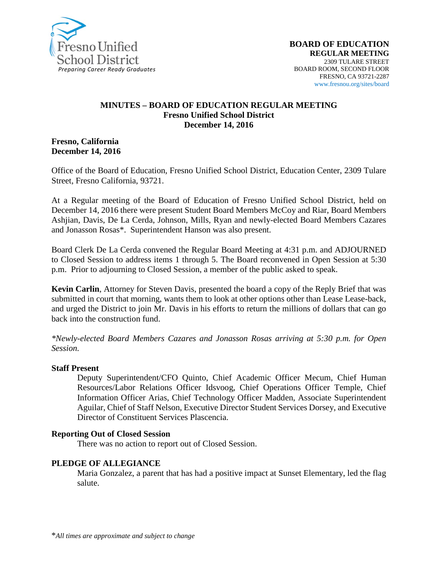

#### **MINUTES – BOARD OF EDUCATION REGULAR MEETING Fresno Unified School District December 14, 2016**

#### **Fresno, California December 14, 2016**

Office of the Board of Education, Fresno Unified School District, Education Center, 2309 Tulare Street, Fresno California, 93721.

At a Regular meeting of the Board of Education of Fresno Unified School District, held on December 14, 2016 there were present Student Board Members McCoy and Riar, Board Members Ashjian, Davis, De La Cerda, Johnson, Mills, Ryan and newly-elected Board Members Cazares and Jonasson Rosas\*. Superintendent Hanson was also present.

Board Clerk De La Cerda convened the Regular Board Meeting at 4:31 p.m. and ADJOURNED to Closed Session to address items 1 through 5. The Board reconvened in Open Session at 5:30 p.m. Prior to adjourning to Closed Session, a member of the public asked to speak.

**Kevin Carlin**, Attorney for Steven Davis, presented the board a copy of the Reply Brief that was submitted in court that morning, wants them to look at other options other than Lease Lease-back, and urged the District to join Mr. Davis in his efforts to return the millions of dollars that can go back into the construction fund.

*\*Newly-elected Board Members Cazares and Jonasson Rosas arriving at 5:30 p.m. for Open Session.*

#### **Staff Present**

Deputy Superintendent/CFO Quinto, Chief Academic Officer Mecum, Chief Human Resources/Labor Relations Officer Idsvoog, Chief Operations Officer Temple, Chief Information Officer Arias, Chief Technology Officer Madden, Associate Superintendent Aguilar, Chief of Staff Nelson, Executive Director Student Services Dorsey, and Executive Director of Constituent Services Plascencia.

#### **Reporting Out of Closed Session**

There was no action to report out of Closed Session.

#### **PLEDGE OF ALLEGIANCE**

Maria Gonzalez, a parent that has had a positive impact at Sunset Elementary, led the flag salute.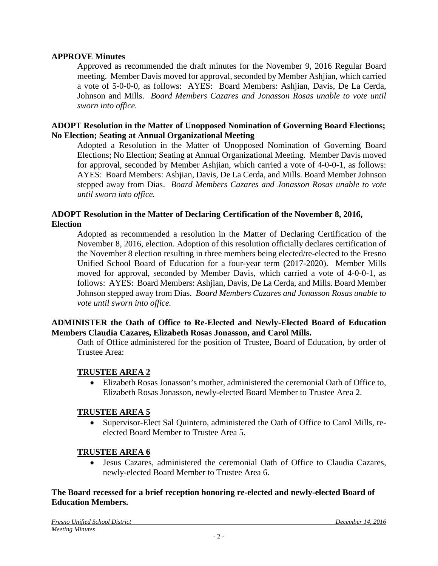#### **APPROVE Minutes**

Approved as recommended the draft minutes for the November 9, 2016 Regular Board meeting. Member Davis moved for approval, seconded by Member Ashjian, which carried a vote of 5-0-0-0, as follows: AYES: Board Members: Ashjian, Davis, De La Cerda, Johnson and Mills. *Board Members Cazares and Jonasson Rosas unable to vote until sworn into office.*

#### **ADOPT Resolution in the Matter of Unopposed Nomination of Governing Board Elections; No Election; Seating at Annual Organizational Meeting**

Adopted a Resolution in the Matter of Unopposed Nomination of Governing Board Elections; No Election; Seating at Annual Organizational Meeting. Member Davis moved for approval, seconded by Member Ashjian, which carried a vote of 4-0-0-1, as follows: AYES: Board Members: Ashjian, Davis, De La Cerda, and Mills. Board Member Johnson stepped away from Dias. *Board Members Cazares and Jonasson Rosas unable to vote until sworn into office.*

### **ADOPT Resolution in the Matter of Declaring Certification of the November 8, 2016, Election**

Adopted as recommended a resolution in the Matter of Declaring Certification of the November 8, 2016, election. Adoption of this resolution officially declares certification of the November 8 election resulting in three members being elected/re-elected to the Fresno Unified School Board of Education for a four-year term (2017-2020). Member Mills moved for approval, seconded by Member Davis, which carried a vote of 4-0-0-1, as follows: AYES: Board Members: Ashjian, Davis, De La Cerda, and Mills. Board Member Johnson stepped away from Dias. *Board Members Cazares and Jonasson Rosas unable to vote until sworn into office.*

#### **ADMINISTER the Oath of Office to Re-Elected and Newly-Elected Board of Education Members Claudia Cazares, Elizabeth Rosas Jonasson, and Carol Mills.**

Oath of Office administered for the position of Trustee, Board of Education, by order of Trustee Area:

### **TRUSTEE AREA 2**

• Elizabeth Rosas Jonasson's mother, administered the ceremonial Oath of Office to, Elizabeth Rosas Jonasson, newly-elected Board Member to Trustee Area 2.

#### **TRUSTEE AREA 5**

• Supervisor-Elect Sal Quintero, administered the Oath of Office to Carol Mills, reelected Board Member to Trustee Area 5.

### **TRUSTEE AREA 6**

• Jesus Cazares, administered the ceremonial Oath of Office to Claudia Cazares, newly-elected Board Member to Trustee Area 6.

#### **The Board recessed for a brief reception honoring re-elected and newly-elected Board of Education Members.**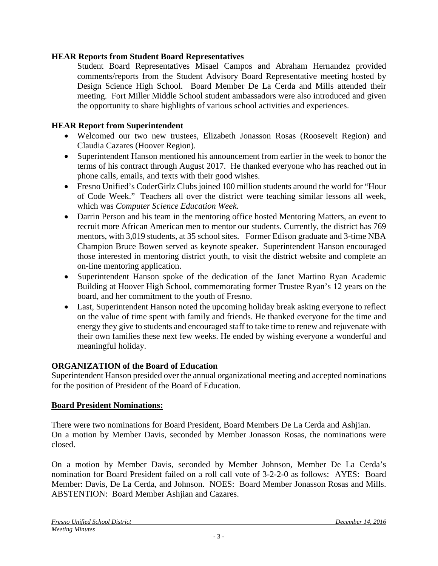### **HEAR Reports from Student Board Representatives**

Student Board Representatives Misael Campos and Abraham Hernandez provided comments/reports from the Student Advisory Board Representative meeting hosted by Design Science High School. Board Member De La Cerda and Mills attended their meeting. Fort Miller Middle School student ambassadors were also introduced and given the opportunity to share highlights of various school activities and experiences.

### **HEAR Report from Superintendent**

- Welcomed our two new trustees, Elizabeth Jonasson Rosas (Roosevelt Region) and Claudia Cazares (Hoover Region).
- Superintendent Hanson mentioned his announcement from earlier in the week to honor the terms of his contract through August 2017. He thanked everyone who has reached out in phone calls, emails, and texts with their good wishes.
- Fresno Unified's CoderGirlz Clubs joined 100 million students around the world for "Hour of Code Week." Teachers all over the district were teaching similar lessons all week, which was *Computer Science Education Week*.
- Darrin Person and his team in the mentoring office hosted Mentoring Matters, an event to recruit more African American men to mentor our students. Currently, the district has 769 mentors, with 3,019 students, at 35 school sites. Former Edison graduate and 3-time NBA Champion Bruce Bowen served as keynote speaker. Superintendent Hanson encouraged those interested in mentoring district youth, to visit the district [website](https://www.fresnounified.org/dept/dpi/Pages/Mentor-Application-Process.aspx) and complete an on-line mentoring application.
- Superintendent Hanson spoke of the dedication of the Janet Martino Ryan Academic Building at Hoover High School, commemorating former Trustee Ryan's 12 years on the board, and her commitment to the youth of Fresno.
- Last, Superintendent Hanson noted the upcoming holiday break asking everyone to reflect on the value of time spent with family and friends. He thanked everyone for the time and energy they give to students and encouraged staff to take time to renew and rejuvenate with their own families these next few weeks. He ended by wishing everyone a wonderful and meaningful holiday.

### **ORGANIZATION of the Board of Education**

Superintendent Hanson presided over the annual organizational meeting and accepted nominations for the position of President of the Board of Education.

### **Board President Nominations:**

There were two nominations for Board President, Board Members De La Cerda and Ashjian. On a motion by Member Davis, seconded by Member Jonasson Rosas, the nominations were closed.

On a motion by Member Davis, seconded by Member Johnson, Member De La Cerda's nomination for Board President failed on a roll call vote of 3-2-2-0 as follows: AYES: Board Member: Davis, De La Cerda, and Johnson. NOES: Board Member Jonasson Rosas and Mills. ABSTENTION: Board Member Ashjian and Cazares.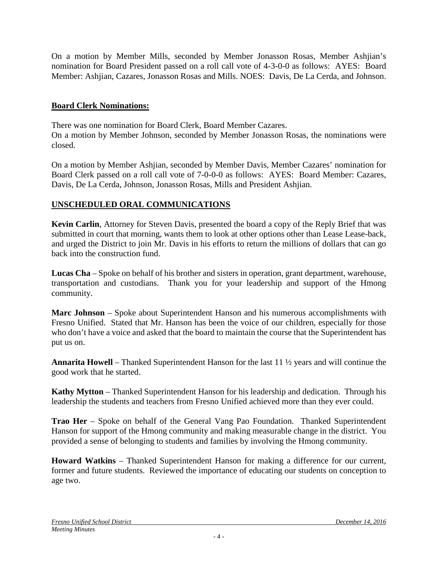On a motion by Member Mills, seconded by Member Jonasson Rosas, Member Ashjian's nomination for Board President passed on a roll call vote of 4-3-0-0 as follows: AYES: Board Member: Ashjian, Cazares, Jonasson Rosas and Mills. NOES: Davis, De La Cerda, and Johnson.

### **Board Clerk Nominations:**

There was one nomination for Board Clerk, Board Member Cazares.

On a motion by Member Johnson, seconded by Member Jonasson Rosas, the nominations were closed.

On a motion by Member Ashjian, seconded by Member Davis, Member Cazares' nomination for Board Clerk passed on a roll call vote of 7-0-0-0 as follows: AYES: Board Member: Cazares, Davis, De La Cerda, Johnson, Jonasson Rosas, Mills and President Ashjian.

## **UNSCHEDULED ORAL COMMUNICATIONS**

**Kevin Carlin**, Attorney for Steven Davis, presented the board a copy of the Reply Brief that was submitted in court that morning, wants them to look at other options other than Lease Lease-back, and urged the District to join Mr. Davis in his efforts to return the millions of dollars that can go back into the construction fund.

**Lucas Cha** – Spoke on behalf of his brother and sisters in operation, grant department, warehouse, transportation and custodians. Thank you for your leadership and support of the Hmong community.

**Marc Johnson** – Spoke about Superintendent Hanson and his numerous accomplishments with Fresno Unified. Stated that Mr. Hanson has been the voice of our children, especially for those who don't have a voice and asked that the board to maintain the course that the Superintendent has put us on.

**Annarita Howell** – Thanked Superintendent Hanson for the last 11 ½ years and will continue the good work that he started.

**Kathy Mytton** – Thanked Superintendent Hanson for his leadership and dedication. Through his leadership the students and teachers from Fresno Unified achieved more than they ever could.

**Trao Her** – Spoke on behalf of the General Vang Pao Foundation. Thanked Superintendent Hanson for support of the Hmong community and making measurable change in the district. You provided a sense of belonging to students and families by involving the Hmong community.

**Howard Watkins** – Thanked Superintendent Hanson for making a difference for our current, former and future students. Reviewed the importance of educating our students on conception to age two.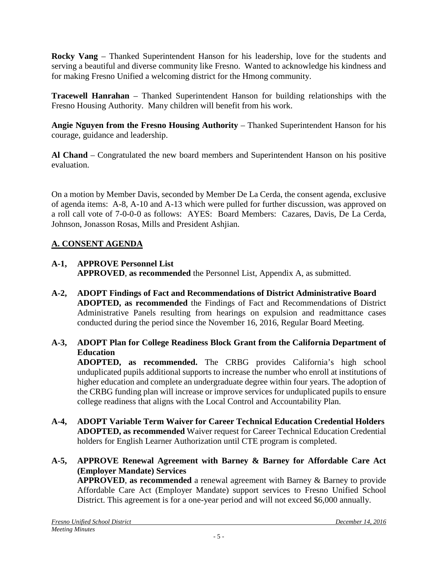**Rocky Vang** – Thanked Superintendent Hanson for his leadership, love for the students and serving a beautiful and diverse community like Fresno. Wanted to acknowledge his kindness and for making Fresno Unified a welcoming district for the Hmong community.

**Tracewell Hanrahan** – Thanked Superintendent Hanson for building relationships with the Fresno Housing Authority. Many children will benefit from his work.

**Angie Nguyen from the Fresno Housing Authority** – Thanked Superintendent Hanson for his courage, guidance and leadership.

**Al Chand** – Congratulated the new board members and Superintendent Hanson on his positive evaluation.

On a motion by Member Davis, seconded by Member De La Cerda, the consent agenda, exclusive of agenda items: A-8, A-10 and A-13 which were pulled for further discussion, was approved on a roll call vote of 7-0-0-0 as follows: AYES: Board Members: Cazares, Davis, De La Cerda, Johnson, Jonasson Rosas, Mills and President Ashjian.

## **A. CONSENT AGENDA**

- **A-1, APPROVE Personnel List APPROVED**, **as recommended** the Personnel List, Appendix A, as submitted.
- **A-2, ADOPT Findings of Fact and Recommendations of District Administrative Board ADOPTED, as recommended** the Findings of Fact and Recommendations of District Administrative Panels resulting from hearings on expulsion and readmittance cases conducted during the period since the November 16, 2016, Regular Board Meeting.
- **A-3, ADOPT Plan for College Readiness Block Grant from the California Department of Education**

**ADOPTED, as recommended.** The CRBG provides California's high school unduplicated pupils additional supports to increase the number who enroll at institutions of higher education and complete an undergraduate degree within four years. The adoption of the CRBG funding plan will increase or improve services for unduplicated pupils to ensure college readiness that aligns with the Local Control and Accountability Plan.

- **A-4, ADOPT Variable Term Waiver for Career Technical Education Credential Holders ADOPTED, as recommended** Waiver request for Career Technical Education Credential holders for English Learner Authorization until CTE program is completed.
- **A-5, APPROVE Renewal Agreement with Barney & Barney for Affordable Care Act (Employer Mandate) Services**

**APPROVED**, **as recommended** a renewal agreement with Barney & Barney to provide Affordable Care Act (Employer Mandate) support services to Fresno Unified School District. This agreement is for a one-year period and will not exceed \$6,000 annually.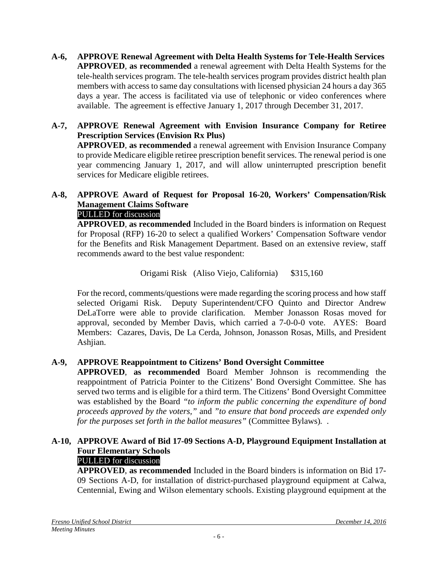**A-6, APPROVE Renewal Agreement with Delta Health Systems for Tele-Health Services APPROVED**, **as recommended** a renewal agreement with Delta Health Systems for the tele-health services program. The tele-health services program provides district health plan members with access to same day consultations with licensed physician 24 hours a day 365 days a year. The access is facilitated via use of telephonic or video conferences where available. The agreement is effective January 1, 2017 through December 31, 2017.

## **A-7, APPROVE Renewal Agreement with Envision Insurance Company for Retiree Prescription Services (Envision Rx Plus)**

**APPROVED**, **as recommended** a renewal agreement with Envision Insurance Company to provide Medicare eligible retiree prescription benefit services. The renewal period is one year commencing January 1, 2017, and will allow uninterrupted prescription benefit services for Medicare eligible retirees.

# **A-8, APPROVE Award of Request for Proposal 16-20, Workers' Compensation/Risk Management Claims Software**

PULLED for discussion

**APPROVED**, **as recommended** Included in the Board binders is information on Request for Proposal (RFP) 16-20 to select a qualified Workers' Compensation Software vendor for the Benefits and Risk Management Department. Based on an extensive review, staff recommends award to the best value respondent:

Origami Risk (Aliso Viejo, California) \$315,160

For the record, comments/questions were made regarding the scoring process and how staff selected Origami Risk. Deputy Superintendent/CFO Quinto and Director Andrew DeLaTorre were able to provide clarification. Member Jonasson Rosas moved for approval, seconded by Member Davis, which carried a 7-0-0-0 vote. AYES: Board Members: Cazares, Davis, De La Cerda, Johnson, Jonasson Rosas, Mills, and President Ashjian.

## **A-9, APPROVE Reappointment to Citizens' Bond Oversight Committee**

**APPROVED**, **as recommended** Board Member Johnson is recommending the reappointment of Patricia Pointer to the Citizens' Bond Oversight Committee. She has served two terms and is eligible for a third term. The Citizens' Bond Oversight Committee was established by the Board *"to inform the public concerning the expenditure of bond proceeds approved by the voters,"* and *"to ensure that bond proceeds are expended only for the purposes set forth in the ballot measures"* (Committee Bylaws)*.* .

## **A-10, APPROVE Award of Bid 17-09 Sections A-D, Playground Equipment Installation at Four Elementary Schools**

### PULLED for discussion

**APPROVED**, **as recommended** Included in the Board binders is information on Bid 17- 09 Sections A-D, for installation of district-purchased playground equipment at Calwa, Centennial, Ewing and Wilson elementary schools. Existing playground equipment at the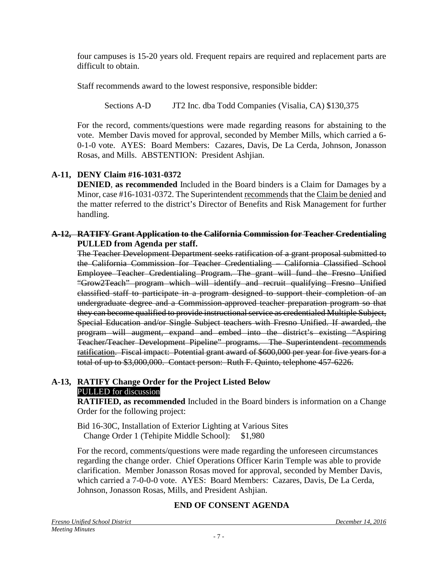four campuses is 15-20 years old. Frequent repairs are required and replacement parts are difficult to obtain.

Staff recommends award to the lowest responsive, responsible bidder:

Sections A-D JT2 Inc. dba Todd Companies (Visalia, CA) \$130,375

For the record, comments/questions were made regarding reasons for abstaining to the vote. Member Davis moved for approval, seconded by Member Mills, which carried a 6- 0-1-0 vote. AYES: Board Members: Cazares, Davis, De La Cerda, Johnson, Jonasson Rosas, and Mills. ABSTENTION: President Ashjian.

## **A-11, DENY Claim #16-1031-0372**

**DENIED**, **as recommended** Included in the Board binders is a Claim for Damages by a Minor, case #16-1031-0372. The Superintendent recommends that the Claim be denied and the matter referred to the district's Director of Benefits and Risk Management for further handling.

### **A-12, RATIFY Grant Application to the California Commission for Teacher Credentialing PULLED from Agenda per staff.**

The Teacher Development Department seeks ratification of a grant proposal submitted to the California Commission for Teacher Credentialing – California Classified School Employee Teacher Credentialing Program. The grant will fund the Fresno Unified "Grow2Teach" program which will identify and recruit qualifying Fresno Unified classified staff to participate in a program designed to support their completion of an undergraduate degree and a Commission-approved teacher preparation program so that they can become qualified to provide instructional service as credentialed Multiple Subject, Special Education and/or Single Subject teachers with Fresno Unified. If awarded, the program will augment, expand and embed into the district's existing "Aspiring Teacher/Teacher Development Pipeline" programs. The Superintendent recommends ratification. Fiscal impact: Potential grant award of \$600,000 per year for five years for a total of up to \$3,000,000. Contact person: Ruth F. Quinto, telephone 457-6226.

### **A-13, RATIFY Change Order for the Project Listed Below** PULLED for discussion

**RATIFIED, as recommended** Included in the Board binders is information on a Change Order for the following project:

Bid 16-30C, Installation of Exterior Lighting at Various Sites Change Order 1 (Tehipite Middle School): \$1,980

For the record, comments/questions were made regarding the unforeseen circumstances regarding the change order. Chief Operations Officer Karin Temple was able to provide clarification. Member Jonasson Rosas moved for approval, seconded by Member Davis, which carried a 7-0-0-0 vote. AYES: Board Members: Cazares, Davis, De La Cerda, Johnson, Jonasson Rosas, Mills, and President Ashjian.

## **END OF CONSENT AGENDA**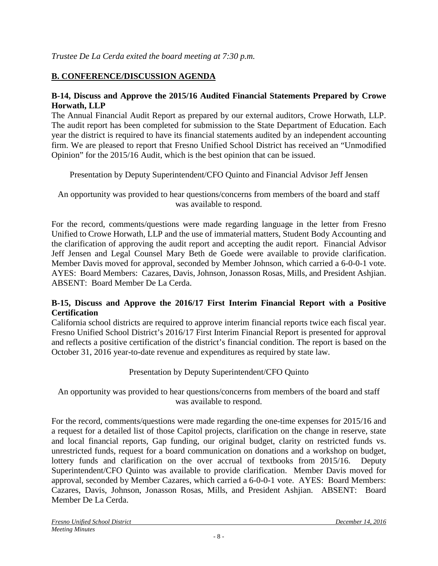## **B. CONFERENCE/DISCUSSION AGENDA**

### **B-14, Discuss and Approve the 2015/16 Audited Financial Statements Prepared by Crowe Horwath, LLP**

The Annual Financial Audit Report as prepared by our external auditors, Crowe Horwath, LLP. The audit report has been completed for submission to the State Department of Education. Each year the district is required to have its financial statements audited by an independent accounting firm. We are pleased to report that Fresno Unified School District has received an "Unmodified Opinion" for the 2015/16 Audit, which is the best opinion that can be issued.

Presentation by Deputy Superintendent/CFO Quinto and Financial Advisor Jeff Jensen

An opportunity was provided to hear questions/concerns from members of the board and staff was available to respond.

For the record, comments/questions were made regarding language in the letter from Fresno Unified to Crowe Horwath, LLP and the use of immaterial matters, Student Body Accounting and the clarification of approving the audit report and accepting the audit report. Financial Advisor Jeff Jensen and Legal Counsel Mary Beth de Goede were available to provide clarification. Member Davis moved for approval, seconded by Member Johnson, which carried a 6-0-0-1 vote. AYES: Board Members: Cazares, Davis, Johnson, Jonasson Rosas, Mills, and President Ashjian. ABSENT: Board Member De La Cerda.

### **B-15, Discuss and Approve the 2016/17 First Interim Financial Report with a Positive Certification**

California school districts are required to approve interim financial reports twice each fiscal year. Fresno Unified School District's 2016/17 First Interim Financial Report is presented for approval and reflects a positive certification of the district's financial condition. The report is based on the October 31, 2016 year-to-date revenue and expenditures as required by state law.

### Presentation by Deputy Superintendent/CFO Quinto

An opportunity was provided to hear questions/concerns from members of the board and staff was available to respond.

For the record, comments/questions were made regarding the one-time expenses for 2015/16 and a request for a detailed list of those Capitol projects, clarification on the change in reserve, state and local financial reports, Gap funding, our original budget, clarity on restricted funds vs. unrestricted funds, request for a board communication on donations and a workshop on budget, lottery funds and clarification on the over accrual of textbooks from 2015/16. Deputy Superintendent/CFO Quinto was available to provide clarification. Member Davis moved for approval, seconded by Member Cazares, which carried a 6-0-0-1 vote. AYES: Board Members: Cazares, Davis, Johnson, Jonasson Rosas, Mills, and President Ashjian. ABSENT: Board Member De La Cerda.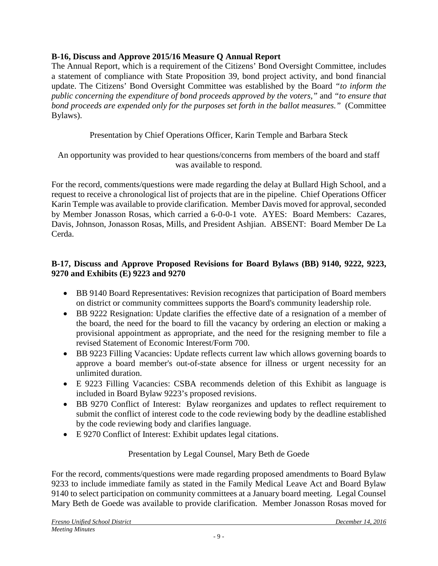## **B-16, Discuss and Approve 2015/16 Measure Q Annual Report**

The Annual Report, which is a requirement of the Citizens' Bond Oversight Committee, includes a statement of compliance with State Proposition 39, bond project activity, and bond financial update. The Citizens' Bond Oversight Committee was established by the Board *"to inform the public concerning the expenditure of bond proceeds approved by the voters,"* and *"to ensure that bond proceeds are expended only for the purposes set forth in the ballot measures."* (Committee Bylaws).

Presentation by Chief Operations Officer, Karin Temple and Barbara Steck

An opportunity was provided to hear questions/concerns from members of the board and staff was available to respond.

For the record, comments/questions were made regarding the delay at Bullard High School, and a request to receive a chronological list of projects that are in the pipeline. Chief Operations Officer Karin Temple was available to provide clarification. Member Davis moved for approval, seconded by Member Jonasson Rosas, which carried a 6-0-0-1 vote. AYES: Board Members: Cazares, Davis, Johnson, Jonasson Rosas, Mills, and President Ashjian. ABSENT: Board Member De La Cerda.

## **B-17, Discuss and Approve Proposed Revisions for Board Bylaws (BB) 9140, 9222, 9223, 9270 and Exhibits (E) 9223 and 9270**

- BB 9140 Board Representatives: Revision recognizes that participation of Board members on district or community committees supports the Board's community leadership role.
- BB 9222 Resignation: Update clarifies the effective date of a resignation of a member of the board, the need for the board to fill the vacancy by ordering an election or making a provisional appointment as appropriate, and the need for the resigning member to file a revised Statement of Economic Interest/Form 700.
- BB 9223 Filling Vacancies: Update reflects current law which allows governing boards to approve a board member's out-of-state absence for illness or urgent necessity for an unlimited duration.
- E 9223 Filling Vacancies: CSBA recommends deletion of this Exhibit as language is included in Board Bylaw 9223's proposed revisions.
- BB 9270 Conflict of Interest: Bylaw reorganizes and updates to reflect requirement to submit the conflict of interest code to the code reviewing body by the deadline established by the code reviewing body and clarifies language.
- E 9270 Conflict of Interest: Exhibit updates legal citations.

## Presentation by Legal Counsel, Mary Beth de Goede

For the record, comments/questions were made regarding proposed amendments to Board Bylaw 9233 to include immediate family as stated in the Family Medical Leave Act and Board Bylaw 9140 to select participation on community committees at a January board meeting. Legal Counsel Mary Beth de Goede was available to provide clarification. Member Jonasson Rosas moved for